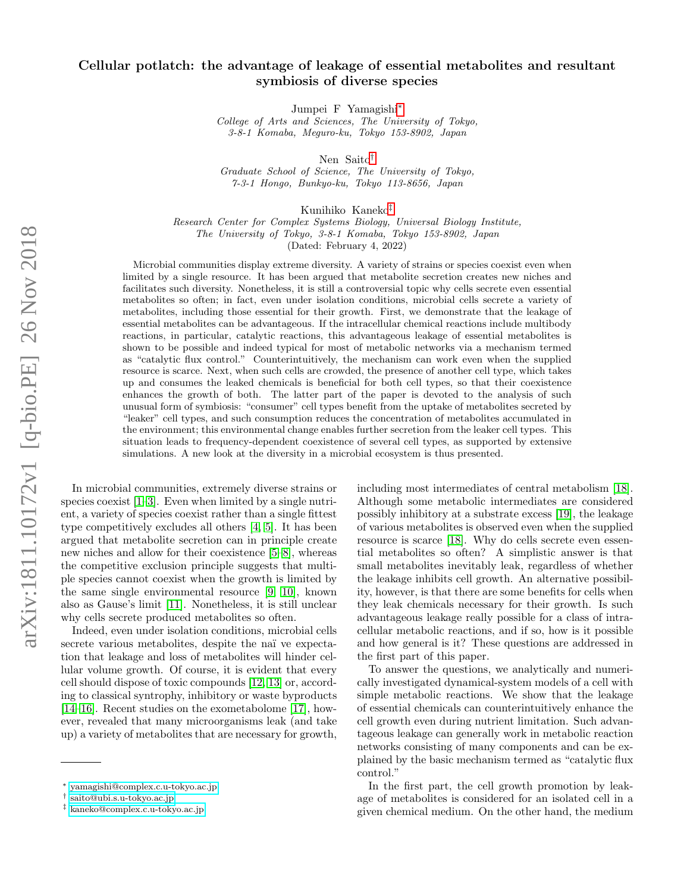# Cellular potlatch: the advantage of leakage of essential metabolites and resultant symbiosis of diverse species

Jumpei F Yamagishi[∗](#page-0-0)

College of Arts and Sciences, The University of Tokyo, 3-8-1 Komaba, Meguro-ku, Tokyo 153-8902, Japan

Nen Saito[†](#page-0-1)

Graduate School of Science, The University of Tokyo, 7-3-1 Hongo, Bunkyo-ku, Tokyo 113-8656, Japan

Kunihiko Kaneko[‡](#page-0-2)

Research Center for Complex Systems Biology, Universal Biology Institute, The University of Tokyo, 3-8-1 Komaba, Tokyo 153-8902, Japan

(Dated: February 4, 2022)

Microbial communities display extreme diversity. A variety of strains or species coexist even when limited by a single resource. It has been argued that metabolite secretion creates new niches and facilitates such diversity. Nonetheless, it is still a controversial topic why cells secrete even essential metabolites so often; in fact, even under isolation conditions, microbial cells secrete a variety of metabolites, including those essential for their growth. First, we demonstrate that the leakage of essential metabolites can be advantageous. If the intracellular chemical reactions include multibody reactions, in particular, catalytic reactions, this advantageous leakage of essential metabolites is shown to be possible and indeed typical for most of metabolic networks via a mechanism termed as "catalytic flux control." Counterintuitively, the mechanism can work even when the supplied resource is scarce. Next, when such cells are crowded, the presence of another cell type, which takes up and consumes the leaked chemicals is beneficial for both cell types, so that their coexistence enhances the growth of both. The latter part of the paper is devoted to the analysis of such unusual form of symbiosis: "consumer" cell types benefit from the uptake of metabolites secreted by "leaker" cell types, and such consumption reduces the concentration of metabolites accumulated in the environment; this environmental change enables further secretion from the leaker cell types. This situation leads to frequency-dependent coexistence of several cell types, as supported by extensive simulations. A new look at the diversity in a microbial ecosystem is thus presented.

In microbial communities, extremely diverse strains or species coexist [\[1–](#page-8-0)[3\]](#page-8-1). Even when limited by a single nutrient, a variety of species coexist rather than a single fittest type competitively excludes all others [\[4,](#page-8-2) [5\]](#page-8-3). It has been argued that metabolite secretion can in principle create new niches and allow for their coexistence [\[5–](#page-8-3)[8\]](#page-8-4), whereas the competitive exclusion principle suggests that multiple species cannot coexist when the growth is limited by the same single environmental resource [\[9,](#page-8-5) [10\]](#page-8-6), known also as Gause's limit [\[11\]](#page-8-7). Nonetheless, it is still unclear why cells secrete produced metabolites so often.

Indeed, even under isolation conditions, microbial cells secrete various metabolites, despite the naï ve expectation that leakage and loss of metabolites will hinder cellular volume growth. Of course, it is evident that every cell should dispose of toxic compounds [\[12,](#page-8-8) [13\]](#page-8-9) or, according to classical syntrophy, inhibitory or waste byproducts [\[14–](#page-8-10)[16\]](#page-8-11). Recent studies on the exometabolome [\[17\]](#page-8-12), however, revealed that many microorganisms leak (and take up) a variety of metabolites that are necessary for growth,

including most intermediates of central metabolism [\[18\]](#page-8-13). Although some metabolic intermediates are considered possibly inhibitory at a substrate excess [\[19\]](#page-9-0), the leakage of various metabolites is observed even when the supplied resource is scarce [\[18\]](#page-8-13). Why do cells secrete even essential metabolites so often? A simplistic answer is that small metabolites inevitably leak, regardless of whether the leakage inhibits cell growth. An alternative possibility, however, is that there are some benefits for cells when they leak chemicals necessary for their growth. Is such advantageous leakage really possible for a class of intracellular metabolic reactions, and if so, how is it possible and how general is it? These questions are addressed in the first part of this paper.

To answer the questions, we analytically and numerically investigated dynamical-system models of a cell with simple metabolic reactions. We show that the leakage of essential chemicals can counterintuitively enhance the cell growth even during nutrient limitation. Such advantageous leakage can generally work in metabolic reaction networks consisting of many components and can be explained by the basic mechanism termed as "catalytic flux control."

In the first part, the cell growth promotion by leakage of metabolites is considered for an isolated cell in a given chemical medium. On the other hand, the medium

<span id="page-0-0"></span><sup>∗</sup> [yamagishi@complex.c.u-tokyo.ac.jp](mailto:yamagishi@complex.c.u-tokyo.ac.jp)

<span id="page-0-1"></span><sup>†</sup> [saito@ubi.s.u-tokyo.ac.jp](mailto:saito@ubi.s.u-tokyo.ac.jp)

<span id="page-0-2"></span><sup>‡</sup> [kaneko@complex.c.u-tokyo.ac.jp](mailto:kaneko@complex.c.u-tokyo.ac.jp)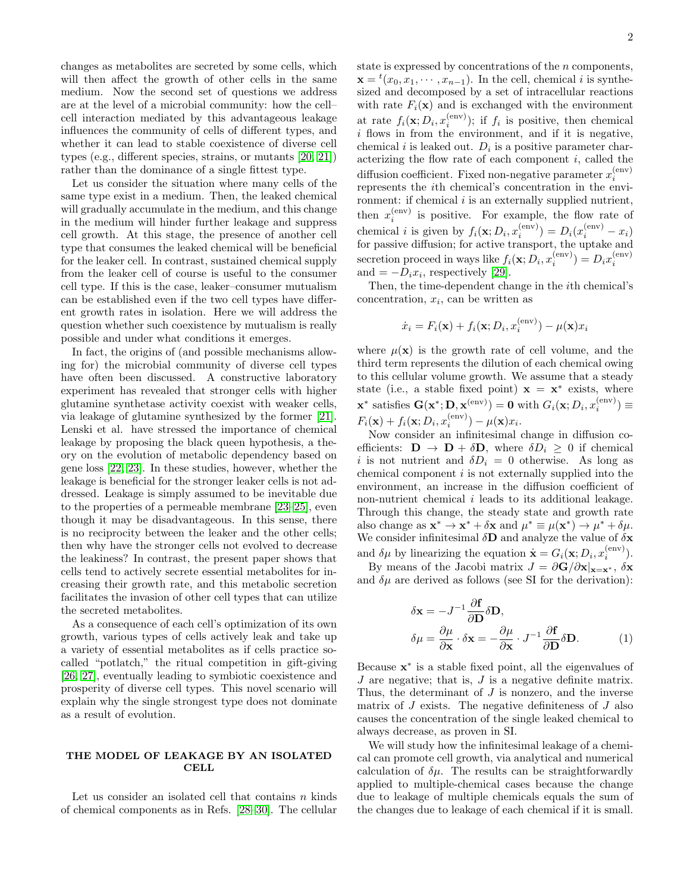changes as metabolites are secreted by some cells, which will then affect the growth of other cells in the same medium. Now the second set of questions we address are at the level of a microbial community: how the cell– cell interaction mediated by this advantageous leakage influences the community of cells of different types, and whether it can lead to stable coexistence of diverse cell types (e.g., different species, strains, or mutants [\[20,](#page-9-1) [21\]](#page-9-2)) rather than the dominance of a single fittest type.

Let us consider the situation where many cells of the same type exist in a medium. Then, the leaked chemical will gradually accumulate in the medium, and this change in the medium will hinder further leakage and suppress cell growth. At this stage, the presence of another cell type that consumes the leaked chemical will be beneficial for the leaker cell. In contrast, sustained chemical supply from the leaker cell of course is useful to the consumer cell type. If this is the case, leaker–consumer mutualism can be established even if the two cell types have different growth rates in isolation. Here we will address the question whether such coexistence by mutualism is really possible and under what conditions it emerges.

In fact, the origins of (and possible mechanisms allowing for) the microbial community of diverse cell types have often been discussed. A constructive laboratory experiment has revealed that stronger cells with higher glutamine synthetase activity coexist with weaker cells, via leakage of glutamine synthesized by the former [\[21\]](#page-9-2). Lenski et al. have stressed the importance of chemical leakage by proposing the black queen hypothesis, a theory on the evolution of metabolic dependency based on gene loss [\[22,](#page-9-3) [23\]](#page-9-4). In these studies, however, whether the leakage is beneficial for the stronger leaker cells is not addressed. Leakage is simply assumed to be inevitable due to the properties of a permeable membrane [\[23](#page-9-4)[–25\]](#page-9-5), even though it may be disadvantageous. In this sense, there is no reciprocity between the leaker and the other cells; then why have the stronger cells not evolved to decrease the leakiness? In contrast, the present paper shows that cells tend to actively secrete essential metabolites for increasing their growth rate, and this metabolic secretion facilitates the invasion of other cell types that can utilize the secreted metabolites.

As a consequence of each cell's optimization of its own growth, various types of cells actively leak and take up a variety of essential metabolites as if cells practice socalled "potlatch," the ritual competition in gift-giving [\[26,](#page-9-6) [27\]](#page-9-7), eventually leading to symbiotic coexistence and prosperity of diverse cell types. This novel scenario will explain why the single strongest type does not dominate as a result of evolution.

# THE MODEL OF LEAKAGE BY AN ISOLATED **CELL**

Let us consider an isolated cell that contains  $n$  kinds of chemical components as in Refs. [\[28](#page-9-8)[–30\]](#page-9-9). The cellular

state is expressed by concentrations of the  $n$  components,  $\mathbf{x} = {}^{t}(x_0, x_1, \dots, x_{n-1})$ . In the cell, chemical *i* is synthesized and decomposed by a set of intracellular reactions with rate  $F_i(\mathbf{x})$  and is exchanged with the environment at rate  $f_i(\mathbf{x}; D_i, x_i^{\text{(env)}})$ ; if  $f_i$  is positive, then chemical i flows in from the environment, and if it is negative, chemical *i* is leaked out.  $D_i$  is a positive parameter characterizing the flow rate of each component  $i$ , called the diffusion coefficient. Fixed non-negative parameter  $x_i^{(\text{env})}$ represents the ith chemical's concentration in the environment: if chemical  $i$  is an externally supplied nutrient, then  $x_i^{(env)}$  is positive. For example, the flow rate of chemical *i* is given by  $f_i(\mathbf{x}; D_i, x_i^{\text{(env)}}) = D_i(x_i^{\text{(env)}} - x_i)$ for passive diffusion; for active transport, the uptake and secretion proceed in ways like  $f_i(\mathbf{x}; D_i, x_i^{\text{(env)}}) = D_i x_i^{\text{(env)}}$ and  $=-D_i x_i$ , respectively [\[29\]](#page-9-10).

Then, the time-dependent change in the ith chemical's concentration,  $x_i$ , can be written as

$$
\dot{x}_i = F_i(\mathbf{x}) + f_i(\mathbf{x}; D_i, x_i^{(\text{env})}) - \mu(\mathbf{x})x_i
$$

where  $\mu(\mathbf{x})$  is the growth rate of cell volume, and the third term represents the dilution of each chemical owing to this cellular volume growth. We assume that a steady state (i.e., a stable fixed point)  $\mathbf{x} = \mathbf{x}^*$  exists, where  $\mathbf{x}^*$  satisfies  $\mathbf{G}(\mathbf{x}^*; \mathbf{D}, \mathbf{x}^{(\text{env})}) = \mathbf{0}$  with  $G_i(\mathbf{x}; D_i, x_i^{(\text{env})}) \equiv$  $F_i(\mathbf{x}) + f_i(\mathbf{x}; D_i, x_i^{\text{(env)}}) - \mu(\mathbf{x})x_i.$ 

Now consider an infinitesimal change in diffusion coefficients:  $\mathbf{D} \to \mathbf{D} + \delta \mathbf{D}$ , where  $\delta D_i \geq 0$  if chemical i is not nutrient and  $\delta D_i = 0$  otherwise. As long as chemical component  $i$  is not externally supplied into the environment, an increase in the diffusion coefficient of non-nutrient chemical i leads to its additional leakage. Through this change, the steady state and growth rate also change as  $\mathbf{x}^* \to \mathbf{x}^* + \delta \mathbf{x}$  and  $\mu^* \equiv \mu(\mathbf{x}^*) \to \mu^* + \delta \mu$ . We consider infinitesimal  $\delta \mathbf{D}$  and analyze the value of  $\delta \mathbf{x}$ and  $\delta \mu$  by linearizing the equation  $\dot{\mathbf{x}} = G_i(\mathbf{x}; D_i, x_i^{\text{(env)}})$ .

By means of the Jacobi matrix  $J = \partial \mathbf{G}/\partial \mathbf{x}|_{\mathbf{x}=\mathbf{x}^*}, \delta \mathbf{x}$ and  $\delta\mu$  are derived as follows (see SI for the derivation):

$$
\delta \mathbf{x} = -J^{-1} \frac{\partial \mathbf{f}}{\partial \mathbf{D}} \delta \mathbf{D},
$$
  
\n
$$
\delta \mu = \frac{\partial \mu}{\partial \mathbf{x}} \cdot \delta \mathbf{x} = -\frac{\partial \mu}{\partial \mathbf{x}} \cdot J^{-1} \frac{\partial \mathbf{f}}{\partial \mathbf{D}} \delta \mathbf{D}.
$$
 (1)

Because  $\mathbf{x}^*$  is a stable fixed point, all the eigenvalues of  $J$  are negative; that is,  $J$  is a negative definite matrix. Thus, the determinant of  $J$  is nonzero, and the inverse matrix of  $J$  exists. The negative definiteness of  $J$  also causes the concentration of the single leaked chemical to always decrease, as proven in SI.

We will study how the infinitesimal leakage of a chemical can promote cell growth, via analytical and numerical calculation of  $\delta \mu$ . The results can be straightforwardly applied to multiple-chemical cases because the change due to leakage of multiple chemicals equals the sum of the changes due to leakage of each chemical if it is small.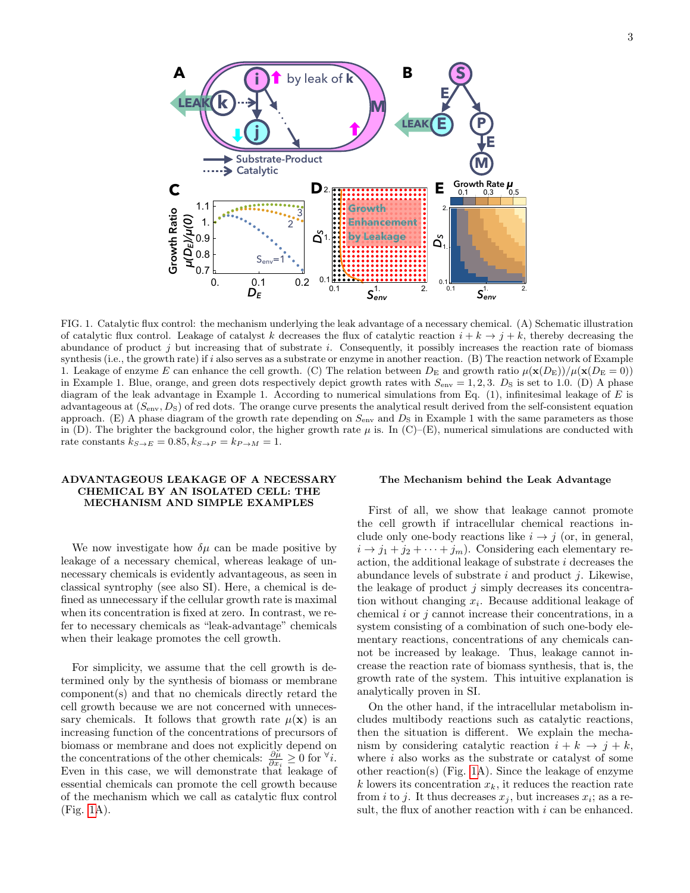

<span id="page-2-0"></span>FIG. 1. Catalytic flux control: the mechanism underlying the leak advantage of a necessary chemical. (A) Schematic illustration of catalytic flux control. Leakage of catalyst  $\kappa$  decreases the flux of catalytic reaction  $i + \kappa \to j + \kappa$ , thereby decreasing the abundance of product j but increasing that of substrate i. Consequently, it possibly inc of catalytic flux control. Leakage of catalyst k decreases the flux of catalytic reaction  $i + k \to j + k$ , thereby decreasing the synthesis (i.e., the growth rate) if i also serves as a substrate or enzyme in another reaction. (B) The reaction network of Example 1. Leakage of enzyme E can enhance the cell growth. (C) The relation between  $D_{\rm E}$  and growth ratio  $\mu(\mathbf{x}(D_{\rm E}))/\mu(\mathbf{x}(D_{\rm E}=0))$ in Example 1. Blue, orange, and green dots respectively depict growth rates with  $S_{env} = 1, 2, 3$ .  $D_S$  is set to 1.0. (D) A phase diagram of the leak advantage in Example 1. According to numerical simulations from Eq.  $(1)$ , infinitesimal leakage of E is advantageous at  $(S_{env}, D_S)$  of red dots. The orange curve presents the analytical result derived from the self-consistent equation approach. (E) A phase diagram of the growth rate depending on  $S_{env}$  and  $D_S$  in Example 1 with the same parameters as those in (D). The brighter the background color, the higher growth rate  $\mu$  is. In (C)–(E), numerical simulations are conducted with rate constants  $k_{S\rightarrow E} = 0.85, k_{S\rightarrow P} = k_{P\rightarrow M} = 1.$ 

# ADVANTAGEOUS LEAKAGE OF A NECESSARY CHEMICAL BY AN ISOLATED CELL: THE MECHANISM AND SIMPLE EXAMPLES

We now investigate how  $\delta \mu$  can be made positive by leakage of a necessary chemical, whereas leakage of unnecessary chemicals is evidently advantageous, as seen in classical syntrophy (see also SI). Here, a chemical is defined as unnecessary if the cellular growth rate is maximal when its concentration is fixed at zero. In contrast, we refer to necessary chemicals as "leak-advantage" chemicals when their leakage promotes the cell growth.

For simplicity, we assume that the cell growth is determined only by the synthesis of biomass or membrane component(s) and that no chemicals directly retard the cell growth because we are not concerned with unnecessary chemicals. It follows that growth rate  $\mu(\mathbf{x})$  is an increasing function of the concentrations of precursors of biomass or membrane and does not explicitly depend on the concentrations of the other chemicals:  $\frac{\partial \mu}{\partial x_i} \geq 0$  for  $\forall i$ . Even in this case, we will demonstrate that leakage of essential chemicals can promote the cell growth because of the mechanism which we call as catalytic flux control (Fig. [1A](#page-2-0)).

### The Mechanism behind the Leak Advantage

First of all, we show that leakage cannot promote the cell growth if intracellular chemical reactions include only one-body reactions like  $i \rightarrow j$  (or, in general,  $i \rightarrow j_1 + j_2 + \cdots + j_m$ . Considering each elementary reaction, the additional leakage of substrate i decreases the abundance levels of substrate  $i$  and product  $j$ . Likewise, the leakage of product  $j$  simply decreases its concentration without changing  $x_i$ . Because additional leakage of chemical  $i$  or  $j$  cannot increase their concentrations, in a system consisting of a combination of such one-body elementary reactions, concentrations of any chemicals cannot be increased by leakage. Thus, leakage cannot increase the reaction rate of biomass synthesis, that is, the growth rate of the system. This intuitive explanation is analytically proven in SI.

On the other hand, if the intracellular metabolism includes multibody reactions such as catalytic reactions, then the situation is different. We explain the mechanism by considering catalytic reaction  $i + k \rightarrow j + k$ , where i also works as the substrate or catalyst of some other reaction(s) (Fig. [1A](#page-2-0)). Since the leakage of enzyme k lowers its concentration  $x_k$ , it reduces the reaction rate from *i* to *j*. It thus decreases  $x_j$ , but increases  $x_i$ ; as a result, the flux of another reaction with  $i$  can be enhanced.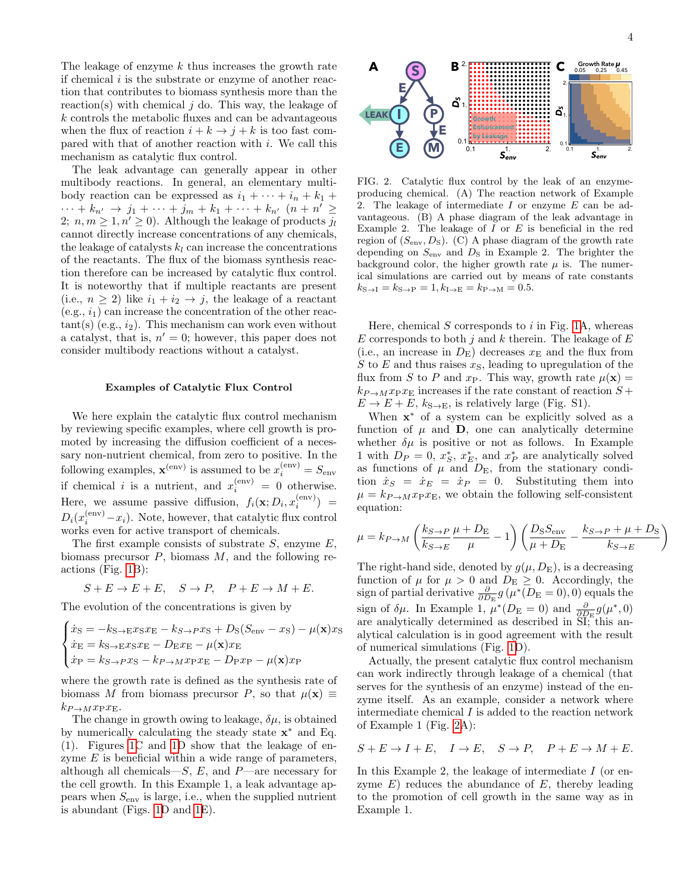The leakage of enzyme  $k$  thus increases the growth rate if chemical  $i$  is the substrate or enzyme of another reaction that contributes to biomass synthesis more than the reaction(s) with chemical  $j$  do. This way, the leakage of k controls the metabolic fluxes and can be advantageous when the flux of reaction  $i + k \rightarrow j + k$  is too fast compared with that of another reaction with i. We call this mechanism as catalytic flux control.

The leak advantage can generally appear in other multibody reactions. In general, an elementary multibody reaction can be expressed as  $i_1 + \cdots + i_n + k_1 + \cdots$  $\cdots + k_{n'} \to j_1 + \cdots + j_m + k_1 + \cdots + k_{n'} \ (n + n' \geq$ 2;  $n, m \geq 1, n' \geq 0$ . Although the leakage of products  $j_l$ cannot directly increase concentrations of any chemicals, the leakage of catalysts  $k_l$  can increase the concentrations of the reactants. The flux of the biomass synthesis reaction therefore can be increased by catalytic flux control. It is noteworthy that if multiple reactants are present (i.e.,  $n \geq 2$ ) like  $i_1 + i_2 \rightarrow j$ , the leakage of a reactant  $(e.g., i<sub>1</sub>)$  can increase the concentration of the other reac $tant(s)$  (e.g.,  $i<sub>2</sub>$ ). This mechanism can work even without a catalyst, that is,  $n' = 0$ ; however, this paper does not consider multibody reactions without a catalyst.

### Examples of Catalytic Flux Control

We here explain the catalytic flux control mechanism by reviewing specific examples, where cell growth is promoted by increasing the diffusion coefficient of a necessary non-nutrient chemical, from zero to positive. In the following examples,  $\mathbf{x}^{(\text{env})}$  is assumed to be  $x_i^{(\text{env})} = S_{\text{env}}$ if chemical *i* is a nutrient, and  $x_i^{(env)} = 0$  otherwise. Here, we assume passive diffusion,  $f_i(\mathbf{x}; D_i, x_i^{\text{(env)}})$  =  $D_i(x_i^{\text{(env)}}-x_i)$ . Note, however, that catalytic flux control works even for active transport of chemicals.

The first example consists of substrate  $S$ , enzyme  $E$ , biomass precursor  $P$ , biomass  $M$ , and the following reactions (Fig. [1B](#page-2-0)):

$$
S + E \to E + E, \quad S \to P, \quad P + E \to M + E.
$$

The evolution of the concentrations is given by

$$
\begin{cases}\n\dot{x}_{\rm S} = -k_{\rm S \to E} x_{\rm S} x_{\rm E} - k_{\rm S \to P} x_{\rm S} + D_{\rm S} (S_{\rm env} - x_{\rm S}) - \mu(\mathbf{x}) x_{\rm S} \\
\dot{x}_{\rm E} = k_{\rm S \to E} x_{\rm S} x_{\rm E} - D_{\rm E} x_{\rm E} - \mu(\mathbf{x}) x_{\rm E} \\
\dot{x}_{\rm P} = k_{\rm S \to P} x_{\rm S} - k_{P \to M} x_{\rm P} x_{\rm E} - D_{\rm P} x_{\rm P} - \mu(\mathbf{x}) x_{\rm P}\n\end{cases}
$$

where the growth rate is defined as the synthesis rate of biomass M from biomass precursor P, so that  $\mu(\mathbf{x}) \equiv$  $k_{P\rightarrow M}x_{\rm P}x_{\rm E}.$ 

The change in growth owing to leakage,  $\delta \mu$ , is obtained by numerically calculating the steady state x <sup>∗</sup> and Eq. (1). Figures [1C](#page-2-0) and [1D](#page-2-0) show that the leakage of enzyme  $E$  is beneficial within a wide range of parameters, although all chemicals— $S$ , E, and P—are necessary for the cell growth. In this Example 1, a leak advantage appears when  $S_{env}$  is large, i.e., when the supplied nutrient is abundant (Figs. [1D](#page-2-0) and [1E](#page-2-0)).



<span id="page-3-0"></span>FIG. 2. Catalytic flux control by the leak of an enzymeproducing chemical. (A) The reaction network of Example 2. The leakage of intermediate  $I$  or enzyme  $E$  can be advantageous. (B) A phase diagram of the leak advantage in Example 2. The leakage of  $I$  or  $E$  is beneficial in the red region of  $(S<sub>env</sub>, D<sub>S</sub>)$ . (C) A phase diagram of the growth rate depending on  $S_{\text{env}}$  and  $D_S$  in Example 2. The brighter the background color, the higher growth rate  $\mu$  is. The numerical simulations are carried out by means of rate constants  $k_{\text{S}\to\text{I}} = k_{\text{S}\to\text{P}} = 1, k_{\text{I}\to\text{E}} = k_{\text{P}\to\text{M}} = 0.5.$ 

Here, chemical  $S$  corresponds to  $i$  in Fig. [1A](#page-2-0), whereas E corresponds to both j and k therein. The leakage of  $E$ (i.e., an increase in  $D_{\rm E}$ ) decreases  $x_{\rm E}$  and the flux from S to E and thus raises  $x_{\rm S}$ , leading to upregulation of the flux from S to P and  $x_P$ . This way, growth rate  $\mu(\mathbf{x}) =$  $k_{P\rightarrow M}x_{P}x_{E}$  increases if the rate constant of reaction  $S +$  $E \to E + E$ ,  $k_{\text{S}\to\text{E}}$ , is relatively large (Fig. S1).

When  $x^*$  of a system can be explicitly solved as a function of  $\mu$  and **D**, one can analytically determine whether  $\delta \mu$  is positive or not as follows. In Example 1 with  $D_P = 0$ ,  $x_S^*$ ,  $x_E^*$ , and  $x_P^*$  are analytically solved as functions of  $\mu$  and  $D_{\rm E}$ , from the stationary condition  $\dot{x}_S = \dot{x}_E = \dot{x}_P = 0$ . Substituting them into  $\mu = k_{P \to M} x_{P} x_{E}$ , we obtain the following self-consistent equation:

$$
\mu = k_{P \to M} \left( \frac{k_{S \to P}}{k_{S \to E}} \frac{\mu + D_{\rm E}}{\mu} - 1 \right) \left( \frac{D_{\rm S} S_{\rm env}}{\mu + D_{\rm E}} - \frac{k_{S \to P} + \mu + D_{\rm S}}{k_{S \to E}} \right)
$$

The right-hand side, denoted by  $g(\mu, D_{\rm E})$ , is a decreasing function of  $\mu$  for  $\mu > 0$  and  $D_{\rm E} \geq 0$ . Accordingly, the sign of partial derivative  $\frac{\partial}{\partial D_{\rm E}} g(\mu^*(D_{\rm E}=0),0)$  equals the sign of  $\delta\mu$ . In Example 1,  $\mu^*(D_{\rm E} = 0)$  and  $\frac{\partial}{\partial D_{\rm E}}g(\mu^*,0)$ are analytically determined as described in SI; this analytical calculation is in good agreement with the result of numerical simulations (Fig. [1D](#page-2-0)).

Actually, the present catalytic flux control mechanism can work indirectly through leakage of a chemical (that serves for the synthesis of an enzyme) instead of the enzyme itself. As an example, consider a network where intermediate chemical  $I$  is added to the reaction network of Example 1 (Fig. [2A](#page-3-0)):

$$
S + E \to I + E, \quad I \to E, \quad S \to P, \quad P + E \to M + E.
$$

In this Example 2, the leakage of intermediate  $I$  (or enzyme  $E$ ) reduces the abundance of  $E$ , thereby leading to the promotion of cell growth in the same way as in Example 1.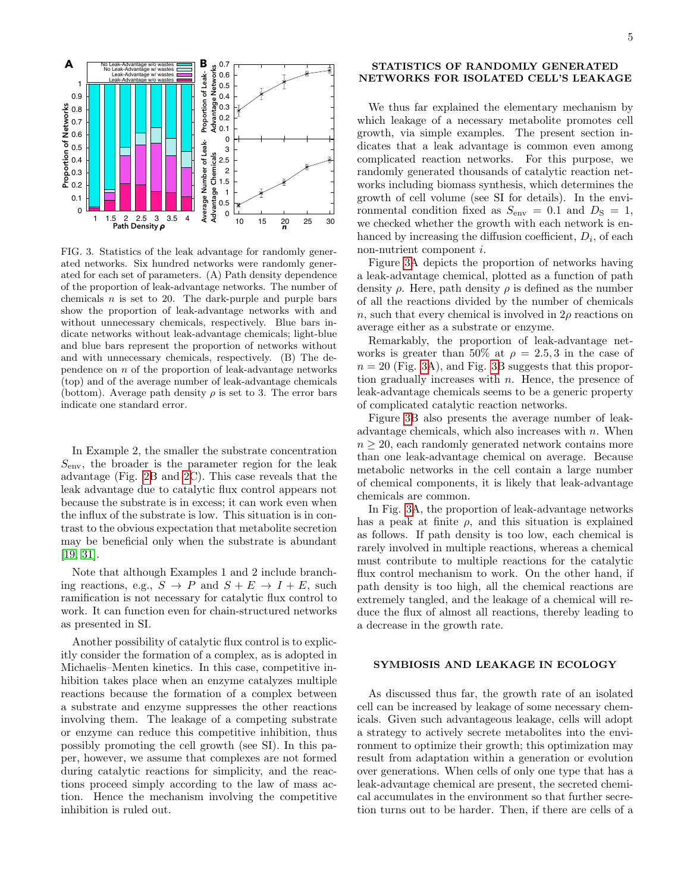

<span id="page-4-0"></span>FIG. 3. Statistics of the leak advantage for randomly generated networks. Six hundred networks were randomly generated for each set of parameters. (A) Path density dependence of the proportion of leak-advantage networks. The number of chemicals  $n$  is set to 20. The dark-purple and purple bars show the proportion of leak-advantage networks with and without unnecessary chemicals, respectively. Blue bars indicate networks without leak-advantage chemicals; light-blue and blue bars represent the proportion of networks without and with unnecessary chemicals, respectively. (B) The dependence on n of the proportion of leak-advantage networks (top) and of the average number of leak-advantage chemicals (bottom). Average path density  $\rho$  is set to 3. The error bars indicate one standard error.

In Example 2, the smaller the substrate concentration  $S_{\text{env}}$ , the broader is the parameter region for the leak advantage (Fig. [2B](#page-3-0) and [2C](#page-3-0)). This case reveals that the leak advantage due to catalytic flux control appears not because the substrate is in excess; it can work even when the influx of the substrate is low. This situation is in contrast to the obvious expectation that metabolite secretion may be beneficial only when the substrate is abundant [\[19,](#page-9-0) [31\]](#page-9-11).

Note that although Examples 1 and 2 include branching reactions, e.g.,  $S \to P$  and  $S + E \to I + E$ , such ramification is not necessary for catalytic flux control to work. It can function even for chain-structured networks as presented in SI.

Another possibility of catalytic flux control is to explicitly consider the formation of a complex, as is adopted in Michaelis–Menten kinetics. In this case, competitive inhibition takes place when an enzyme catalyzes multiple reactions because the formation of a complex between a substrate and enzyme suppresses the other reactions involving them. The leakage of a competing substrate or enzyme can reduce this competitive inhibition, thus possibly promoting the cell growth (see SI). In this paper, however, we assume that complexes are not formed during catalytic reactions for simplicity, and the reactions proceed simply according to the law of mass action. Hence the mechanism involving the competitive inhibition is ruled out.

# STATISTICS OF RANDOMLY GENERATED NETWORKS FOR ISOLATED CELL'S LEAKAGE

We thus far explained the elementary mechanism by which leakage of a necessary metabolite promotes cell growth, via simple examples. The present section indicates that a leak advantage is common even among complicated reaction networks. For this purpose, we randomly generated thousands of catalytic reaction networks including biomass synthesis, which determines the growth of cell volume (see SI for details). In the environmental condition fixed as  $S_{\text{env}} = 0.1$  and  $D_{\text{S}} = 1$ , we checked whether the growth with each network is enhanced by increasing the diffusion coefficient,  $D_i$ , of each non-nutrient component i.

Figure [3A](#page-4-0) depicts the proportion of networks having a leak-advantage chemical, plotted as a function of path density  $\rho$ . Here, path density  $\rho$  is defined as the number of all the reactions divided by the number of chemicals n, such that every chemical is involved in  $2\rho$  reactions on average either as a substrate or enzyme.

Remarkably, the proportion of leak-advantage networks is greater than 50% at  $\rho = 2.5, 3$  in the case of  $n = 20$  (Fig. [3A](#page-4-0)), and Fig. [3B](#page-4-0) suggests that this proportion gradually increases with  $n$ . Hence, the presence of leak-advantage chemicals seems to be a generic property of complicated catalytic reaction networks.

Figure [3B](#page-4-0) also presents the average number of leakadvantage chemicals, which also increases with  $n$ . When  $n \geq 20$ , each randomly generated network contains more than one leak-advantage chemical on average. Because metabolic networks in the cell contain a large number of chemical components, it is likely that leak-advantage chemicals are common.

In Fig. [3A](#page-4-0), the proportion of leak-advantage networks has a peak at finite  $\rho$ , and this situation is explained as follows. If path density is too low, each chemical is rarely involved in multiple reactions, whereas a chemical must contribute to multiple reactions for the catalytic flux control mechanism to work. On the other hand, if path density is too high, all the chemical reactions are extremely tangled, and the leakage of a chemical will reduce the flux of almost all reactions, thereby leading to a decrease in the growth rate.

## SYMBIOSIS AND LEAKAGE IN ECOLOGY

As discussed thus far, the growth rate of an isolated cell can be increased by leakage of some necessary chemicals. Given such advantageous leakage, cells will adopt a strategy to actively secrete metabolites into the environment to optimize their growth; this optimization may result from adaptation within a generation or evolution over generations. When cells of only one type that has a leak-advantage chemical are present, the secreted chemical accumulates in the environment so that further secretion turns out to be harder. Then, if there are cells of a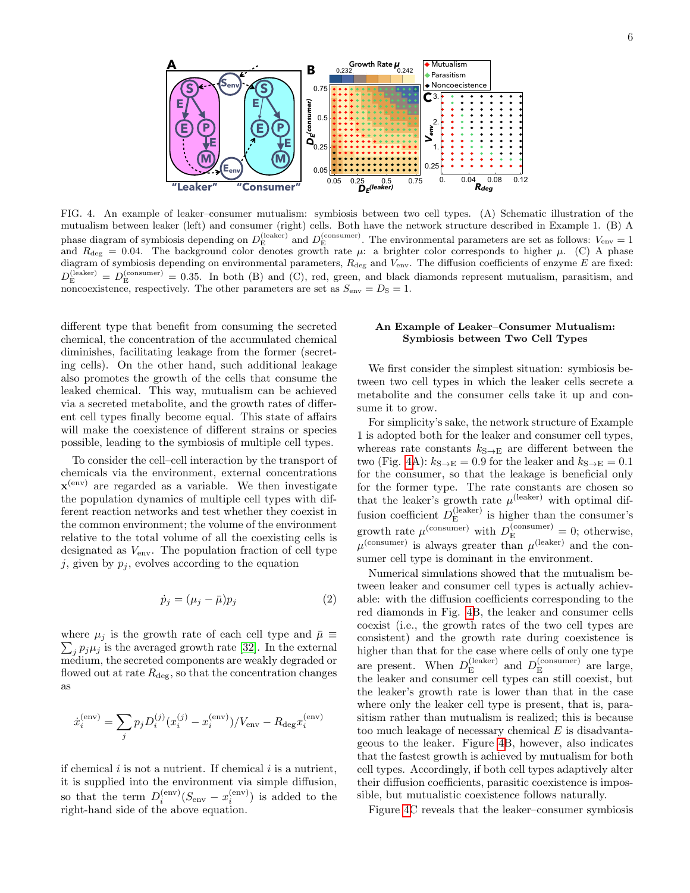

<span id="page-5-0"></span>FIG. 4. An example of leaker–consumer mutualism: symbiosis between two cell types. (A) Schematic illustration of the mutualism between leaker (left) and consumer (right) cells. Both have the network structure described in Example 1. (B) A phase diagram of symbiosis depending on  $D_{\rm E}^{\rm (leaker)}$  and  $D_{\rm E}^{\rm (consumer)}$ . The environmental parameters are set as follows:  $V_{\rm env} = 1$ and  $R_{\text{deg}} = 0.04$ . The background color denotes growth rate  $\mu$ : a brighter color corresponds to higher  $\mu$ . (C) A phase diagram of symbiosis depending on environmental parameters,  $R_{\text{deg}}$  and  $V_{\text{env}}$ . The diffusion coefficients of enzyme E are fixed:  $D_{\rm E}^{\rm (leaker)} = D_{\rm E}^{\rm (consumer)} = 0.35$ . In both (B) and (C), red, green, and black diamonds represent mutualism, parasitism, and noncoexistence, respectively. The other parameters are set as  $S_{env} = D_S = 1$ .

different type that benefit from consuming the secreted chemical, the concentration of the accumulated chemical diminishes, facilitating leakage from the former (secreting cells). On the other hand, such additional leakage also promotes the growth of the cells that consume the leaked chemical. This way, mutualism can be achieved via a secreted metabolite, and the growth rates of different cell types finally become equal. This state of affairs will make the coexistence of different strains or species possible, leading to the symbiosis of multiple cell types.

To consider the cell–cell interaction by the transport of chemicals via the environment, external concentrations  $\mathbf{x}^{(\text{env})}$  are regarded as a variable. We then investigate the population dynamics of multiple cell types with different reaction networks and test whether they coexist in the common environment; the volume of the environment relative to the total volume of all the coexisting cells is designated as Venv. The population fraction of cell type j, given by  $p_j$ , evolves according to the equation

$$
\dot{p}_j = (\mu_j - \bar{\mu})p_j \tag{2}
$$

where  $\mu_j$  is the growth rate of each cell type and  $\bar{\mu} \equiv$  $\sum_j p_j \mu_j$  is the averaged growth rate [\[32\]](#page-9-12). In the external medium, the secreted components are weakly degraded or flowed out at rate  $R_{\text{deg}}$ , so that the concentration changes as

$$
\dot{x}_i^{(\text{env})} = \sum_j p_j D_i^{(j)} (x_i^{(j)} - x_i^{(\text{env})}) / V_{\text{env}} - R_{\text{deg}} x_i^{(\text{env})}
$$

if chemical  $i$  is not a nutrient. If chemical  $i$  is a nutrient, it is supplied into the environment via simple diffusion, so that the term  $D_i^{(env)}(S_{env} - x_i^{(env)})$  is added to the right-hand side of the above equation.

# An Example of Leaker–Consumer Mutualism: Symbiosis between Two Cell Types

We first consider the simplest situation: symbiosis between two cell types in which the leaker cells secrete a metabolite and the consumer cells take it up and consume it to grow.

For simplicity's sake, the network structure of Example 1 is adopted both for the leaker and consumer cell types, whereas rate constants  $k_{S\rightarrow E}$  are different between the two (Fig. [4A](#page-5-0)):  $k_{S\rightarrow E} = 0.9$  for the leaker and  $k_{S\rightarrow E} = 0.1$ for the consumer, so that the leakage is beneficial only for the former type. The rate constants are chosen so that the leaker's growth rate  $\mu^{\text{(leaker)}}$  with optimal diffusion coefficient  $D_{\rm E}^{\rm (leaker)}$  $E$ <sup>(leaker)</sup> is higher than the consumer's growth rate  $\mu^{\text{(consumer)}}$  with  $D_{\text{E}}^{\text{(consumer)}} = 0$ ; otherwise,  $\mu^{\text{(cosumer)}}$  is always greater than  $\mu^{\text{(leaker)}}$  and the consumer cell type is dominant in the environment.

Numerical simulations showed that the mutualism between leaker and consumer cell types is actually achievable: with the diffusion coefficients corresponding to the red diamonds in Fig. [4B](#page-5-0), the leaker and consumer cells coexist (i.e., the growth rates of the two cell types are consistent) and the growth rate during coexistence is higher than that for the case where cells of only one type are present. When  $D_{\rm E}^{\rm (leaker)}$  $_{\rm E}^{\rm (leaker)}$  and  $D_{\rm E}^{\rm (consumer)}$  $E^{\text{(consumer)}}$  are large, the leaker and consumer cell types can still coexist, but the leaker's growth rate is lower than that in the case where only the leaker cell type is present, that is, parasitism rather than mutualism is realized; this is because too much leakage of necessary chemical  $E$  is disadvantageous to the leaker. Figure [4B](#page-5-0), however, also indicates that the fastest growth is achieved by mutualism for both cell types. Accordingly, if both cell types adaptively alter their diffusion coefficients, parasitic coexistence is impossible, but mutualistic coexistence follows naturally.

Figure [4C](#page-5-0) reveals that the leaker–consumer symbiosis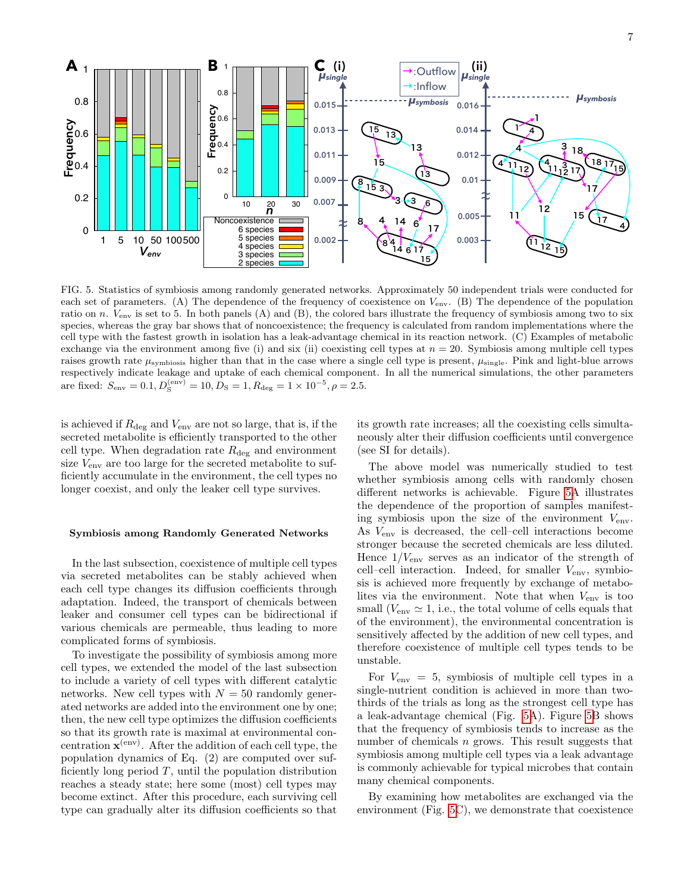

<span id="page-6-0"></span>raises growth rate  $\mu_{\text{symbiosis}}$  higher than that in the case where a single cell type is present,  $\mu_{\text{single}}$ . Pink and light-blue arrows cell type with the fastest growth in isolation has a leak-advantage chemical in its reaction network. (C) Examples of metabolic each set of parameters. (A) The dependence of the frequency of coexistence on  $V_{\text{env}}$ . (B) The dependence of the population ly indicate leaka FIG. 5. Statistics of symbiosis among randomly generated networks. Approximately 50 independent trials were conducted for each set of parameters (A) The dependence of the frequency of coexistence on  $V_{\text{max}}$  (B) The depe n species, whereas the gray bar shows that of noncoexistence; the frequency is calculated from random implementations where the ratio on n. Venv is set to 5. In both panels (A) and (B), the colored bars illustrate the frequency of symbiosis among two to six exchange via the environment among five (i) and six (ii) coexisting cell types at  $n = 20$ . Symbiosis among multiple cell types respectively indicate leakage and uptake of each chemical component. In all the numerical simulations, the other parameters are fixed:  $S_{\text{env}} = 0.1, D_{\text{S}}^{(\text{env})} = 10, D_{\text{S}} = 1, R_{\text{deg}} = 1 \times 10^{-5}, \rho = 2.5.$ 

is achieved if  $R_{\text{deg}}$  and  $V_{\text{env}}$  are not so large, that is, if the secreted metabolite is efficiently transported to the other cell type. When degradation rate  $R_{\text{deg}}$  and environment size  $V_{\text{env}}$  are too large for the secreted metabolite to sufficiently accumulate in the environment, the cell types no longer coexist, and only the leaker cell type survives.

# Symbiosis among Randomly Generated Networks

In the last subsection, coexistence of multiple cell types via secreted metabolites can be stably achieved when each cell type changes its diffusion coefficients through adaptation. Indeed, the transport of chemicals between leaker and consumer cell types can be bidirectional if various chemicals are permeable, thus leading to more complicated forms of symbiosis.

To investigate the possibility of symbiosis among more cell types, we extended the model of the last subsection to include a variety of cell types with different catalytic networks. New cell types with  $N = 50$  randomly generated networks are added into the environment one by one; then, the new cell type optimizes the diffusion coefficients so that its growth rate is maximal at environmental concentration  $\mathbf{x}^{(\text{env})}$ . After the addition of each cell type, the population dynamics of Eq. (2) are computed over sufficiently long period  $T$ , until the population distribution reaches a steady state; here some (most) cell types may become extinct. After this procedure, each surviving cell type can gradually alter its diffusion coefficients so that

its growth rate increases; all the coexisting cells simultaneously alter their diffusion coefficients until convergence (see SI for details).

The above model was numerically studied to test whether symbiosis among cells with randomly chosen different networks is achievable. Figure [5A](#page-6-0) illustrates the dependence of the proportion of samples manifesting symbiosis upon the size of the environment  $V_{env}$ . As Venv is decreased, the cell–cell interactions become stronger because the secreted chemicals are less diluted. Hence  $1/V_{\text{env}}$  serves as an indicator of the strength of cell–cell interaction. Indeed, for smaller  $V_{\text{env}}$ , symbiosis is achieved more frequently by exchange of metabolites via the environment. Note that when  $V_{env}$  is too small  $(V_{\text{env}} \simeq 1$ , i.e., the total volume of cells equals that of the environment), the environmental concentration is sensitively affected by the addition of new cell types, and therefore coexistence of multiple cell types tends to be unstable.

For  $V_{\text{env}} = 5$ , symbiosis of multiple cell types in a single-nutrient condition is achieved in more than twothirds of the trials as long as the strongest cell type has a leak-advantage chemical (Fig. [5A](#page-6-0)). Figure [5B](#page-6-0) shows that the frequency of symbiosis tends to increase as the number of chemicals  $n$  grows. This result suggests that symbiosis among multiple cell types via a leak advantage is commonly achievable for typical microbes that contain many chemical components.

By examining how metabolites are exchanged via the environment (Fig. [5C](#page-6-0)), we demonstrate that coexistence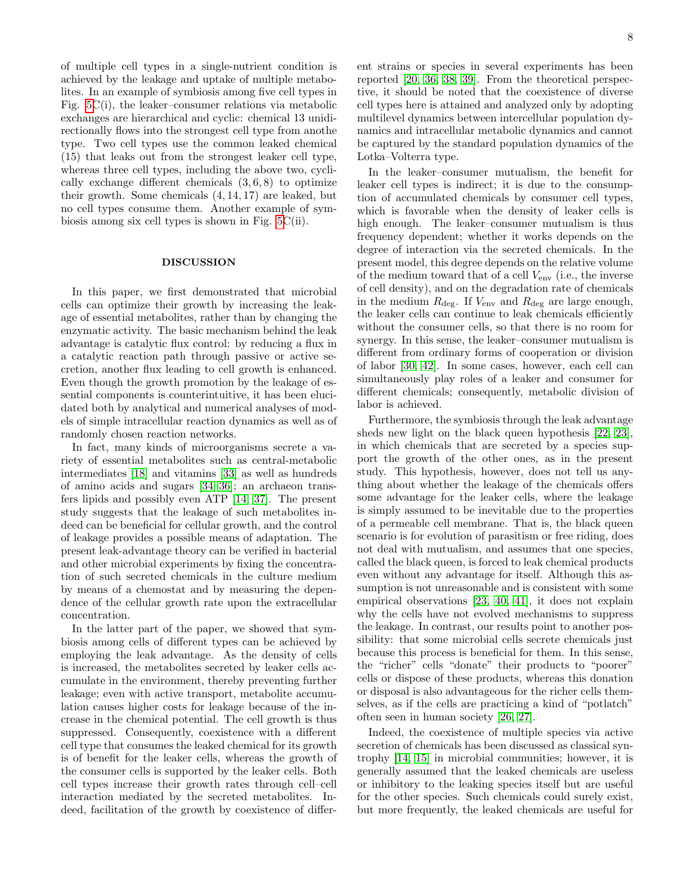of multiple cell types in a single-nutrient condition is achieved by the leakage and uptake of multiple metabolites. In an example of symbiosis among five cell types in Fig. [5C](#page-6-0)(i), the leaker–consumer relations via metabolic exchanges are hierarchical and cyclic: chemical 13 unidirectionally flows into the strongest cell type from anothe type. Two cell types use the common leaked chemical (15) that leaks out from the strongest leaker cell type, whereas three cell types, including the above two, cyclically exchange different chemicals  $(3, 6, 8)$  to optimize their growth. Some chemicals (4, 14, 17) are leaked, but no cell types consume them. Another example of symbiosis among six cell types is shown in Fig. [5C](#page-6-0)(ii).

## DISCUSSION

In this paper, we first demonstrated that microbial cells can optimize their growth by increasing the leakage of essential metabolites, rather than by changing the enzymatic activity. The basic mechanism behind the leak advantage is catalytic flux control: by reducing a flux in a catalytic reaction path through passive or active secretion, another flux leading to cell growth is enhanced. Even though the growth promotion by the leakage of essential components is counterintuitive, it has been elucidated both by analytical and numerical analyses of models of simple intracellular reaction dynamics as well as of randomly chosen reaction networks.

In fact, many kinds of microorganisms secrete a variety of essential metabolites such as central-metabolic intermediates [\[18\]](#page-8-13) and vitamins [\[33\]](#page-9-13) as well as hundreds of amino acids and sugars [\[34](#page-9-14)[–36\]](#page-9-15); an archaeon transfers lipids and possibly even ATP [\[14,](#page-8-10) [37\]](#page-9-16). The present study suggests that the leakage of such metabolites indeed can be beneficial for cellular growth, and the control of leakage provides a possible means of adaptation. The present leak-advantage theory can be verified in bacterial and other microbial experiments by fixing the concentration of such secreted chemicals in the culture medium by means of a chemostat and by measuring the dependence of the cellular growth rate upon the extracellular concentration.

In the latter part of the paper, we showed that symbiosis among cells of different types can be achieved by employing the leak advantage. As the density of cells is increased, the metabolites secreted by leaker cells accumulate in the environment, thereby preventing further leakage; even with active transport, metabolite accumulation causes higher costs for leakage because of the increase in the chemical potential. The cell growth is thus suppressed. Consequently, coexistence with a different cell type that consumes the leaked chemical for its growth is of benefit for the leaker cells, whereas the growth of the consumer cells is supported by the leaker cells. Both cell types increase their growth rates through cell–cell interaction mediated by the secreted metabolites. Indeed, facilitation of the growth by coexistence of different strains or species in several experiments has been reported [\[20,](#page-9-1) [36,](#page-9-15) [38,](#page-9-17) [39\]](#page-9-18). From the theoretical perspective, it should be noted that the coexistence of diverse cell types here is attained and analyzed only by adopting multilevel dynamics between intercellular population dynamics and intracellular metabolic dynamics and cannot be captured by the standard population dynamics of the Lotka–Volterra type.

In the leaker–consumer mutualism, the benefit for leaker cell types is indirect; it is due to the consumption of accumulated chemicals by consumer cell types, which is favorable when the density of leaker cells is high enough. The leaker–consumer mutualism is thus frequency dependent; whether it works depends on the degree of interaction via the secreted chemicals. In the present model, this degree depends on the relative volume of the medium toward that of a cell  $V_{env}$  (i.e., the inverse of cell density), and on the degradation rate of chemicals in the medium  $R_{\text{deg}}$ . If  $V_{\text{env}}$  and  $R_{\text{deg}}$  are large enough, the leaker cells can continue to leak chemicals efficiently without the consumer cells, so that there is no room for synergy. In this sense, the leaker–consumer mutualism is different from ordinary forms of cooperation or division of labor [\[30,](#page-9-9) [42\]](#page-9-19). In some cases, however, each cell can simultaneously play roles of a leaker and consumer for different chemicals; consequently, metabolic division of labor is achieved.

Furthermore, the symbiosis through the leak advantage sheds new light on the black queen hypothesis [\[22,](#page-9-3) [23\]](#page-9-4), in which chemicals that are secreted by a species support the growth of the other ones, as in the present study. This hypothesis, however, does not tell us anything about whether the leakage of the chemicals offers some advantage for the leaker cells, where the leakage is simply assumed to be inevitable due to the properties of a permeable cell membrane. That is, the black queen scenario is for evolution of parasitism or free riding, does not deal with mutualism, and assumes that one species, called the black queen, is forced to leak chemical products even without any advantage for itself. Although this assumption is not unreasonable and is consistent with some empirical observations [\[23,](#page-9-4) [40,](#page-9-20) [41\]](#page-9-21), it does not explain why the cells have not evolved mechanisms to suppress the leakage. In contrast, our results point to another possibility: that some microbial cells secrete chemicals just because this process is beneficial for them. In this sense, the "richer" cells "donate" their products to "poorer" cells or dispose of these products, whereas this donation or disposal is also advantageous for the richer cells themselves, as if the cells are practicing a kind of "potlatch" often seen in human society [\[26,](#page-9-6) [27\]](#page-9-7).

Indeed, the coexistence of multiple species via active secretion of chemicals has been discussed as classical syntrophy [\[14,](#page-8-10) [15\]](#page-8-14) in microbial communities; however, it is generally assumed that the leaked chemicals are useless or inhibitory to the leaking species itself but are useful for the other species. Such chemicals could surely exist, but more frequently, the leaked chemicals are useful for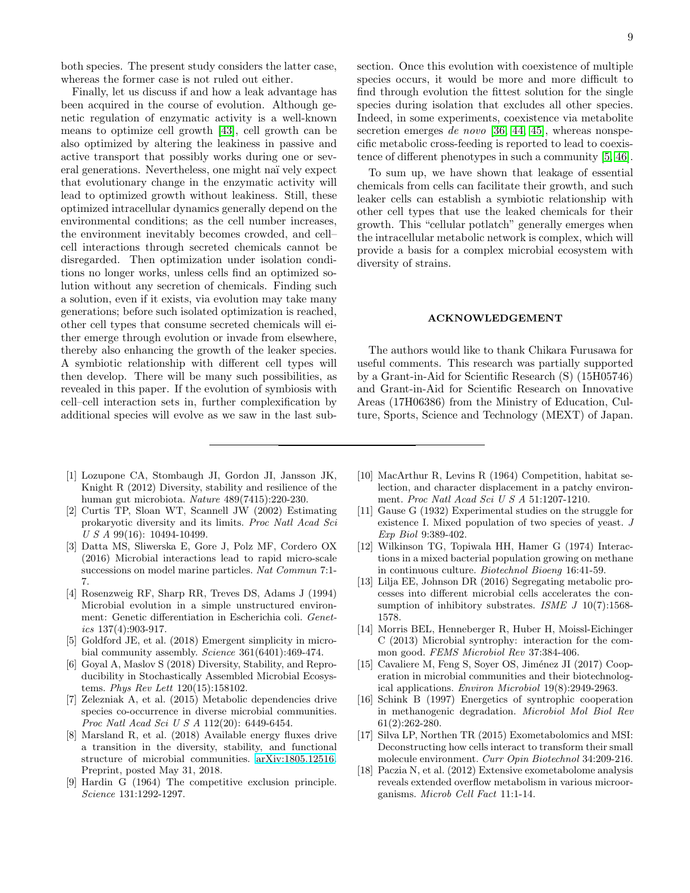both species. The present study considers the latter case, whereas the former case is not ruled out either.

Finally, let us discuss if and how a leak advantage has been acquired in the course of evolution. Although genetic regulation of enzymatic activity is a well-known means to optimize cell growth [\[43\]](#page-9-22), cell growth can be also optimized by altering the leakiness in passive and active transport that possibly works during one or several generations. Nevertheless, one might na¨ı vely expect that evolutionary change in the enzymatic activity will lead to optimized growth without leakiness. Still, these optimized intracellular dynamics generally depend on the environmental conditions; as the cell number increases, the environment inevitably becomes crowded, and cell– cell interactions through secreted chemicals cannot be disregarded. Then optimization under isolation conditions no longer works, unless cells find an optimized solution without any secretion of chemicals. Finding such a solution, even if it exists, via evolution may take many generations; before such isolated optimization is reached, other cell types that consume secreted chemicals will either emerge through evolution or invade from elsewhere, thereby also enhancing the growth of the leaker species. A symbiotic relationship with different cell types will then develop. There will be many such possibilities, as revealed in this paper. If the evolution of symbiosis with cell–cell interaction sets in, further complexification by additional species will evolve as we saw in the last sub-

- <span id="page-8-0"></span>[1] Lozupone CA, Stombaugh JI, Gordon JI, Jansson JK, Knight R (2012) Diversity, stability and resilience of the human gut microbiota. Nature 489(7415):220-230.
- [2] Curtis TP, Sloan WT, Scannell JW (2002) Estimating prokaryotic diversity and its limits. Proc Natl Acad Sci  $\,U\,S\,A\,99(16):10494-10499.$
- <span id="page-8-1"></span>[3] Datta MS, Sliwerska E, Gore J, Polz MF, Cordero OX (2016) Microbial interactions lead to rapid micro-scale successions on model marine particles. Nat Commun 7:1- 7.
- <span id="page-8-2"></span>[4] Rosenzweig RF, Sharp RR, Treves DS, Adams J (1994) Microbial evolution in a simple unstructured environment: Genetic differentiation in Escherichia coli. Genetics  $137(4):903-917$ .
- <span id="page-8-3"></span>[5] Goldford JE, et al. (2018) Emergent simplicity in microbial community assembly. Science 361(6401):469-474.
- [6] Goyal A, Maslov S (2018) Diversity, Stability, and Reproducibility in Stochastically Assembled Microbial Ecosystems. Phys Rev Lett 120(15):158102.
- [7] Zelezniak A, et al. (2015) Metabolic dependencies drive species co-occurrence in diverse microbial communities. Proc Natl Acad Sci U S A 112(20): 6449-6454.
- <span id="page-8-4"></span>[8] Marsland R, et al. (2018) Available energy fluxes drive a transition in the diversity, stability, and functional structure of microbial communities. [arXiv:1805.12516.](http://arxiv.org/abs/1805.12516) Preprint, posted May 31, 2018.
- <span id="page-8-5"></span>[9] Hardin G (1964) The competitive exclusion principle. Science 131:1292-1297.

section. Once this evolution with coexistence of multiple species occurs, it would be more and more difficult to find through evolution the fittest solution for the single species during isolation that excludes all other species. Indeed, in some experiments, coexistence via metabolite secretion emerges de novo [\[36,](#page-9-15) [44,](#page-9-23) [45\]](#page-9-24), whereas nonspecific metabolic cross-feeding is reported to lead to coexistence of different phenotypes in such a community [\[5,](#page-8-3) [46\]](#page-9-25).

To sum up, we have shown that leakage of essential chemicals from cells can facilitate their growth, and such leaker cells can establish a symbiotic relationship with other cell types that use the leaked chemicals for their growth. This "cellular potlatch" generally emerges when the intracellular metabolic network is complex, which will provide a basis for a complex microbial ecosystem with diversity of strains.

#### ACKNOWLEDGEMENT

The authors would like to thank Chikara Furusawa for useful comments. This research was partially supported by a Grant-in-Aid for Scientific Research (S) (15H05746) and Grant-in-Aid for Scientific Research on Innovative Areas (17H06386) from the Ministry of Education, Culture, Sports, Science and Technology (MEXT) of Japan.

- <span id="page-8-6"></span>[10] MacArthur R, Levins R (1964) Competition, habitat selection, and character displacement in a patchy environment. Proc Natl Acad Sci U S A 51:1207-1210.
- <span id="page-8-7"></span>[11] Gause G (1932) Experimental studies on the struggle for existence I. Mixed population of two species of yeast. J Exp Biol 9:389-402.
- <span id="page-8-8"></span>[12] Wilkinson TG, Topiwala HH, Hamer G (1974) Interactions in a mixed bacterial population growing on methane in continuous culture. Biotechnol Bioeng 16:41-59.
- <span id="page-8-9"></span>[13] Lilja EE, Johnson DR (2016) Segregating metabolic processes into different microbial cells accelerates the consumption of inhibitory substrates. ISME  $J$  10(7):1568-1578.
- <span id="page-8-10"></span>[14] Morris BEL, Henneberger R, Huber H, Moissl-Eichinger C (2013) Microbial syntrophy: interaction for the common good. FEMS Microbiol Rev 37:384-406.
- <span id="page-8-14"></span>[15] Cavaliere M, Feng S, Soyer OS, Jiménez JI (2017) Cooperation in microbial communities and their biotechnological applications. Environ Microbiol 19(8):2949-2963.
- <span id="page-8-11"></span>[16] Schink B (1997) Energetics of syntrophic cooperation in methanogenic degradation. Microbiol Mol Biol Rev 61(2):262-280.
- <span id="page-8-12"></span>[17] Silva LP, Northen TR (2015) Exometabolomics and MSI: Deconstructing how cells interact to transform their small molecule environment. Curr Opin Biotechnol 34:209-216.
- <span id="page-8-13"></span>[18] Paczia N, et al. (2012) Extensive exometabolome analysis reveals extended overflow metabolism in various microorganisms. Microb Cell Fact 11:1-14.